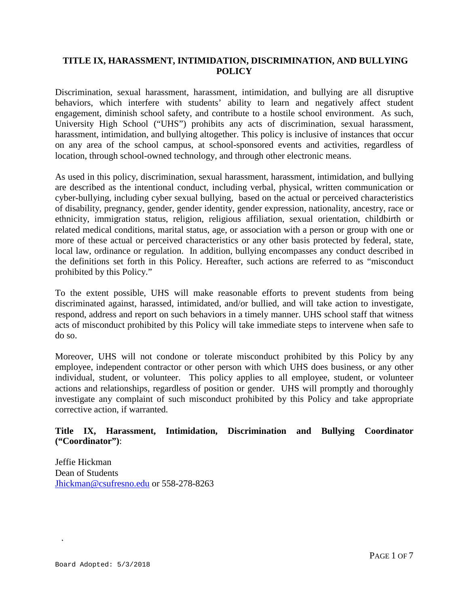# **TITLE IX, HARASSMENT, INTIMIDATION, DISCRIMINATION, AND BULLYING POLICY**

Discrimination, sexual harassment, harassment, intimidation, and bullying are all disruptive behaviors, which interfere with students' ability to learn and negatively affect student engagement, diminish school safety, and contribute to a hostile school environment. As such, University High School ("UHS") prohibits any acts of discrimination, sexual harassment, harassment, intimidation, and bullying altogether. This policy is inclusive of instances that occur on any area of the school campus, at school-sponsored events and activities, regardless of location, through school-owned technology, and through other electronic means.

As used in this policy, discrimination, sexual harassment, harassment, intimidation, and bullying are described as the intentional conduct, including verbal, physical, written communication or cyber-bullying, including cyber sexual bullying, based on the actual or perceived characteristics of disability, pregnancy, gender, gender identity, gender expression, nationality, ancestry, race or ethnicity, immigration status, religion, religious affiliation, sexual orientation, childbirth or related medical conditions, marital status, age, or association with a person or group with one or more of these actual or perceived characteristics or any other basis protected by federal, state, local law, ordinance or regulation. In addition, bullying encompasses any conduct described in the definitions set forth in this Policy. Hereafter, such actions are referred to as "misconduct prohibited by this Policy."

To the extent possible, UHS will make reasonable efforts to prevent students from being discriminated against, harassed, intimidated, and/or bullied, and will take action to investigate, respond, address and report on such behaviors in a timely manner. UHS school staff that witness acts of misconduct prohibited by this Policy will take immediate steps to intervene when safe to do so.

Moreover, UHS will not condone or tolerate misconduct prohibited by this Policy by any employee, independent contractor or other person with which UHS does business, or any other individual, student, or volunteer. This policy applies to all employee, student, or volunteer actions and relationships, regardless of position or gender. UHS will promptly and thoroughly investigate any complaint of such misconduct prohibited by this Policy and take appropriate corrective action, if warranted.

# **Title IX, Harassment, Intimidation, Discrimination and Bullying Coordinator ("Coordinator")**:

Jeffie Hickman Dean of Students [Jhickman@csufresno.edu](mailto:Jhickman@csufresno.edu) or 558-278-8263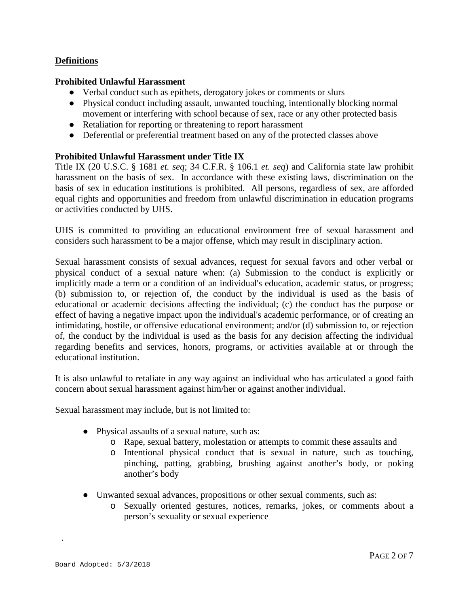# **Definitions**

### **Prohibited Unlawful Harassment**

- Verbal conduct such as epithets, derogatory jokes or comments or slurs
- Physical conduct including assault, unwanted touching, intentionally blocking normal movement or interfering with school because of sex, race or any other protected basis
- Retaliation for reporting or threatening to report harassment
- Deferential or preferential treatment based on any of the protected classes above

### **Prohibited Unlawful Harassment under Title IX**

Title IX (20 U.S.C. § 1681 *et. seq*; 34 C.F.R. § 106.1 *et. seq*) and California state law prohibit harassment on the basis of sex. In accordance with these existing laws, discrimination on the basis of sex in education institutions is prohibited. All persons, regardless of sex, are afforded equal rights and opportunities and freedom from unlawful discrimination in education programs or activities conducted by UHS.

UHS is committed to providing an educational environment free of sexual harassment and considers such harassment to be a major offense, which may result in disciplinary action.

Sexual harassment consists of sexual advances, request for sexual favors and other verbal or physical conduct of a sexual nature when: (a) Submission to the conduct is explicitly or implicitly made a term or a condition of an individual's education, academic status, or progress; (b) submission to, or rejection of, the conduct by the individual is used as the basis of educational or academic decisions affecting the individual; (c) the conduct has the purpose or effect of having a negative impact upon the individual's academic performance, or of creating an intimidating, hostile, or offensive educational environment; and/or (d) submission to, or rejection of, the conduct by the individual is used as the basis for any decision affecting the individual regarding benefits and services, honors, programs, or activities available at or through the educational institution.

It is also unlawful to retaliate in any way against an individual who has articulated a good faith concern about sexual harassment against him/her or against another individual.

Sexual harassment may include, but is not limited to:

- Physical assaults of a sexual nature, such as:
	- o Rape, sexual battery, molestation or attempts to commit these assaults and
	- o Intentional physical conduct that is sexual in nature, such as touching, pinching, patting, grabbing, brushing against another's body, or poking another's body
- Unwanted sexual advances, propositions or other sexual comments, such as:
	- o Sexually oriented gestures, notices, remarks, jokes, or comments about a person's sexuality or sexual experience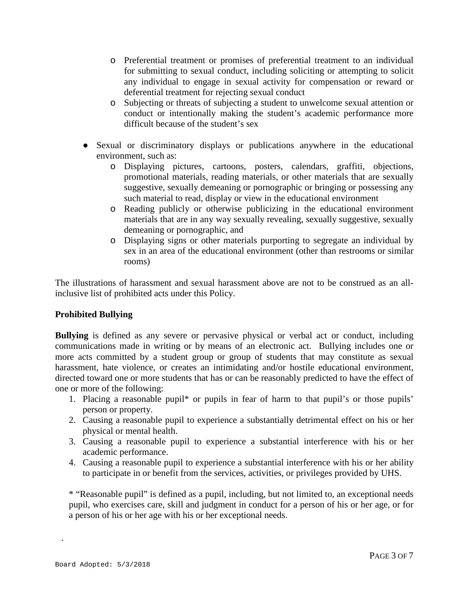- o Preferential treatment or promises of preferential treatment to an individual for submitting to sexual conduct, including soliciting or attempting to solicit any individual to engage in sexual activity for compensation or reward or deferential treatment for rejecting sexual conduct
- o Subjecting or threats of subjecting a student to unwelcome sexual attention or conduct or intentionally making the student's academic performance more difficult because of the student's sex
- Sexual or discriminatory displays or publications anywhere in the educational environment, such as:
	- o Displaying pictures, cartoons, posters, calendars, graffiti, objections, promotional materials, reading materials, or other materials that are sexually suggestive, sexually demeaning or pornographic or bringing or possessing any such material to read, display or view in the educational environment
	- o Reading publicly or otherwise publicizing in the educational environment materials that are in any way sexually revealing, sexually suggestive, sexually demeaning or pornographic, and
	- o Displaying signs or other materials purporting to segregate an individual by sex in an area of the educational environment (other than restrooms or similar rooms)

The illustrations of harassment and sexual harassment above are not to be construed as an allinclusive list of prohibited acts under this Policy.

# **Prohibited Bullying**

**Bullying** is defined as any severe or pervasive physical or verbal act or conduct, including communications made in writing or by means of an electronic act. Bullying includes one or more acts committed by a student group or group of students that may constitute as sexual harassment, hate violence, or creates an intimidating and/or hostile educational environment, directed toward one or more students that has or can be reasonably predicted to have the effect of one or more of the following:

- 1. Placing a reasonable pupil\* or pupils in fear of harm to that pupil's or those pupils' person or property.
- 2. Causing a reasonable pupil to experience a substantially detrimental effect on his or her physical or mental health.
- 3. Causing a reasonable pupil to experience a substantial interference with his or her academic performance.
- 4. Causing a reasonable pupil to experience a substantial interference with his or her ability to participate in or benefit from the services, activities, or privileges provided by UHS.

\* "Reasonable pupil" is defined as a pupil, including, but not limited to, an exceptional needs pupil, who exercises care, skill and judgment in conduct for a person of his or her age, or for a person of his or her age with his or her exceptional needs.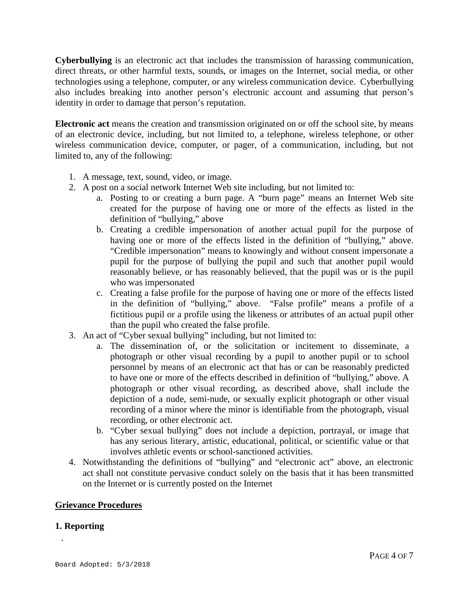**Cyberbullying** is an electronic act that includes the transmission of harassing communication, direct threats, or other harmful texts, sounds, or images on the Internet, social media, or other technologies using a telephone, computer, or any wireless communication device. Cyberbullying also includes breaking into another person's electronic account and assuming that person's identity in order to damage that person's reputation.

**Electronic act** means the creation and transmission originated on or off the school site, by means of an electronic device, including, but not limited to, a telephone, wireless telephone, or other wireless communication device, computer, or pager, of a communication, including, but not limited to, any of the following:

- 1. A message, text, sound, video, or image.
- 2. A post on a social network Internet Web site including, but not limited to:
	- a. Posting to or creating a burn page. A "burn page" means an Internet Web site created for the purpose of having one or more of the effects as listed in the definition of "bullying," above
	- b. Creating a credible impersonation of another actual pupil for the purpose of having one or more of the effects listed in the definition of "bullying," above. "Credible impersonation" means to knowingly and without consent impersonate a pupil for the purpose of bullying the pupil and such that another pupil would reasonably believe, or has reasonably believed, that the pupil was or is the pupil who was impersonated
	- c. Creating a false profile for the purpose of having one or more of the effects listed in the definition of "bullying," above. "False profile" means a profile of a fictitious pupil or a profile using the likeness or attributes of an actual pupil other than the pupil who created the false profile.
- 3. An act of "Cyber sexual bullying" including, but not limited to:
	- a. The dissemination of, or the solicitation or incitement to disseminate, a photograph or other visual recording by a pupil to another pupil or to school personnel by means of an electronic act that has or can be reasonably predicted to have one or more of the effects described in definition of "bullying," above. A photograph or other visual recording, as described above, shall include the depiction of a nude, semi-nude, or sexually explicit photograph or other visual recording of a minor where the minor is identifiable from the photograph, visual recording, or other electronic act.
	- b. "Cyber sexual bullying" does not include a depiction, portrayal, or image that has any serious literary, artistic, educational, political, or scientific value or that involves athletic events or school-sanctioned activities.
- 4. Notwithstanding the definitions of "bullying" and "electronic act" above, an electronic act shall not constitute pervasive conduct solely on the basis that it has been transmitted on the Internet or is currently posted on the Internet

#### **Grievance Procedures**

#### **1. Reporting**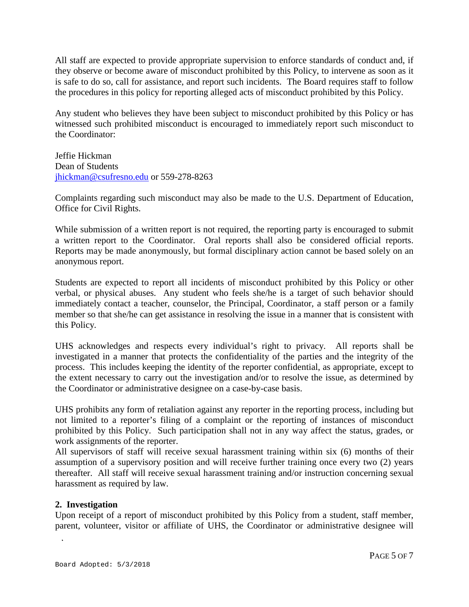All staff are expected to provide appropriate supervision to enforce standards of conduct and, if they observe or become aware of misconduct prohibited by this Policy, to intervene as soon as it is safe to do so, call for assistance, and report such incidents. The Board requires staff to follow the procedures in this policy for reporting alleged acts of misconduct prohibited by this Policy.

Any student who believes they have been subject to misconduct prohibited by this Policy or has witnessed such prohibited misconduct is encouraged to immediately report such misconduct to the Coordinator:

Jeffie Hickman Dean of Students [jhickman@csufresno.edu](mailto:jhickman@csufresno.edu) or 559-278-8263

Complaints regarding such misconduct may also be made to the U.S. Department of Education, Office for Civil Rights.

While submission of a written report is not required, the reporting party is encouraged to submit a written report to the Coordinator. Oral reports shall also be considered official reports. Reports may be made anonymously, but formal disciplinary action cannot be based solely on an anonymous report.

Students are expected to report all incidents of misconduct prohibited by this Policy or other verbal, or physical abuses. Any student who feels she/he is a target of such behavior should immediately contact a teacher, counselor, the Principal, Coordinator, a staff person or a family member so that she/he can get assistance in resolving the issue in a manner that is consistent with this Policy.

UHS acknowledges and respects every individual's right to privacy. All reports shall be investigated in a manner that protects the confidentiality of the parties and the integrity of the process. This includes keeping the identity of the reporter confidential, as appropriate, except to the extent necessary to carry out the investigation and/or to resolve the issue, as determined by the Coordinator or administrative designee on a case-by-case basis.

UHS prohibits any form of retaliation against any reporter in the reporting process, including but not limited to a reporter's filing of a complaint or the reporting of instances of misconduct prohibited by this Policy. Such participation shall not in any way affect the status, grades, or work assignments of the reporter.

All supervisors of staff will receive sexual harassment training within six (6) months of their assumption of a supervisory position and will receive further training once every two (2) years thereafter. All staff will receive sexual harassment training and/or instruction concerning sexual harassment as required by law.

### **2. Investigation**

Upon receipt of a report of misconduct prohibited by this Policy from a student, staff member, parent, volunteer, visitor or affiliate of UHS, the Coordinator or administrative designee will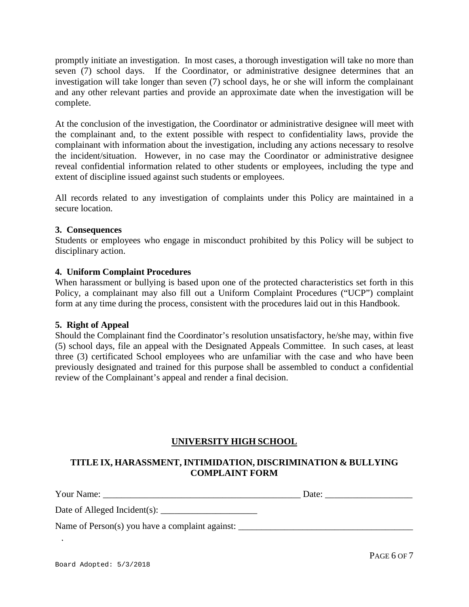promptly initiate an investigation. In most cases, a thorough investigation will take no more than seven (7) school days. If the Coordinator, or administrative designee determines that an investigation will take longer than seven (7) school days, he or she will inform the complainant and any other relevant parties and provide an approximate date when the investigation will be complete.

At the conclusion of the investigation, the Coordinator or administrative designee will meet with the complainant and, to the extent possible with respect to confidentiality laws, provide the complainant with information about the investigation, including any actions necessary to resolve the incident/situation. However, in no case may the Coordinator or administrative designee reveal confidential information related to other students or employees, including the type and extent of discipline issued against such students or employees.

All records related to any investigation of complaints under this Policy are maintained in a secure location.

### **3. Consequences**

Students or employees who engage in misconduct prohibited by this Policy will be subject to disciplinary action.

#### **4. Uniform Complaint Procedures**

When harassment or bullying is based upon one of the protected characteristics set forth in this Policy, a complainant may also fill out a Uniform Complaint Procedures ("UCP") complaint form at any time during the process, consistent with the procedures laid out in this Handbook.

### **5. Right of Appeal**

Should the Complainant find the Coordinator's resolution unsatisfactory, he/she may, within five (5) school days, file an appeal with the Designated Appeals Committee. In such cases, at least three (3) certificated School employees who are unfamiliar with the case and who have been previously designated and trained for this purpose shall be assembled to conduct a confidential review of the Complainant's appeal and render a final decision.

### **UNIVERSITY HIGH SCHOOL**

# **TITLE IX, HARASSMENT, INTIMIDATION, DISCRIMINATION & BULLYING COMPLAINT FORM**

Your Name: \_\_\_\_\_\_\_\_\_\_\_\_\_\_\_\_\_\_\_\_\_\_\_\_\_\_\_\_\_\_\_\_\_\_\_\_\_\_\_\_\_\_\_ Date: \_\_\_\_\_\_\_\_\_\_\_\_\_\_\_\_\_\_\_ Date of Alleged Incident(s):  $\_\_$ 

Name of Person(s) you have a complaint against: \_\_\_\_\_\_\_\_\_\_\_\_\_\_\_\_\_\_\_\_\_\_\_\_\_\_\_\_\_\_\_\_\_\_\_\_\_\_

PAGE 6 OF 7